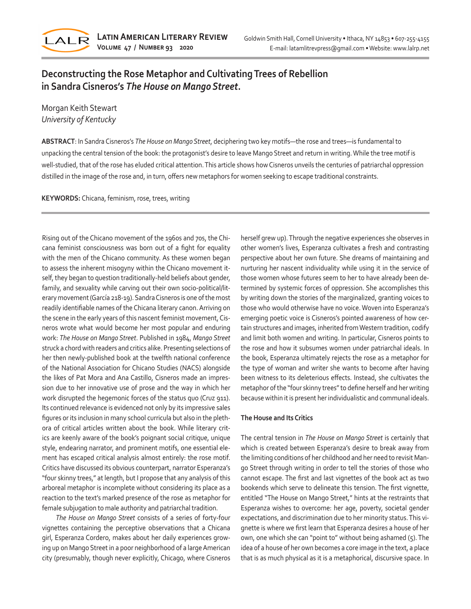

# **Deconstructing the Rose Metaphor and Cultivating Trees of Rebellion in Sandra Cisneros's** *The House on Mango Street***.**

Morgan Keith Stewart *University of Kentucky*

**ABSTRACT**: In Sandra Cisneros's *The House on Mango Street*, deciphering two key motifs—the rose and trees—is fundamental to unpacking the central tension of the book: the protagonist's desire to leave Mango Street and return in writing. While the tree motif is well-studied, that of the rose has eluded critical attention. This article shows how Cisneros unveils the centuries of patriarchal oppression distilled in the image of the rose and, in turn, offers new metaphors for women seeking to escape traditional constraints.

**KEYWORDS:** Chicana, feminism, rose, trees, writing

Rising out of the Chicano movement of the 1960s and 70s, the Chicana feminist consciousness was born out of a fight for equality with the men of the Chicano community. As these women began to assess the inherent misogyny within the Chicano movement itself, they began to question traditionally-held beliefs about gender, family, and sexuality while carving out their own socio-political/literary movement (García 218-19). Sandra Cisneros is one of the most readily identifiable names of the Chicana literary canon. Arriving on the scene in the early years of this nascent feminist movement, Cisneros wrote what would become her most popular and enduring work: *The House on Mango Street*. Published in 1984, *Mango Street* struck a chord with readers and critics alike. Presenting selections of her then newly-published book at the twelfth national conference of the National Association for Chicano Studies (NACS) alongside the likes of Pat Mora and Ana Castillo, Cisneros made an impression due to her innovative use of prose and the way in which her work disrupted the hegemonic forces of the status quo (Cruz 911). Its continued relevance is evidenced not only by its impressive sales figures or its inclusion in many school curricula but also in the plethora of critical articles written about the book. While literary critics are keenly aware of the book's poignant social critique, unique style, endearing narrator, and prominent motifs, one essential element has escaped critical analysis almost entirely: the rose motif. Critics have discussed its obvious counterpart, narrator Esperanza's "four skinny trees," at length, but I propose that any analysis of this arboreal metaphor is incomplete without considering its place as a reaction to the text's marked presence of the rose as metaphor for female subjugation to male authority and patriarchal tradition.

*The House on Mango Street* consists of a series of forty-four vignettes containing the perceptive observations that a Chicana girl, Esperanza Cordero, makes about her daily experiences growing up on Mango Street in a poor neighborhood of a large American city (presumably, though never explicitly, Chicago, where Cisneros herself grew up). Through the negative experiences she observes in other women's lives, Esperanza cultivates a fresh and contrasting perspective about her own future. She dreams of maintaining and nurturing her nascent individuality while using it in the service of those women whose futures seem to her to have already been determined by systemic forces of oppression. She accomplishes this by writing down the stories of the marginalized, granting voices to those who would otherwise have no voice. Woven into Esperanza's emerging poetic voice is Cisneros's pointed awareness of how certain structures and images, inherited from Western tradition, codify and limit both women and writing. In particular, Cisneros points to the rose and how it subsumes women under patriarchal ideals. In the book, Esperanza ultimately rejects the rose as a metaphor for the type of woman and writer she wants to become after having been witness to its deleterious effects. Instead, she cultivates the metaphor of the "four skinny trees" to define herself and her writing because within it is present her individualistic and communal ideals.

### **The House and Its Critics**

The central tension in *The House on Mango Street* is certainly that which is created between Esperanza's desire to break away from the limiting conditions of her childhood and her need to revisit Mango Street through writing in order to tell the stories of those who cannot escape. The first and last vignettes of the book act as two bookends which serve to delineate this tension. The first vignette, entitled "The House on Mango Street," hints at the restraints that Esperanza wishes to overcome: her age, poverty, societal gender expectations, and discrimination due to her minority status. This vignette is where we first learn that Esperanza desires a house of her own, one which she can "point to" without being ashamed (5). The idea of a house of her own becomes a core image in the text, a place that is as much physical as it is a metaphorical, discursive space. In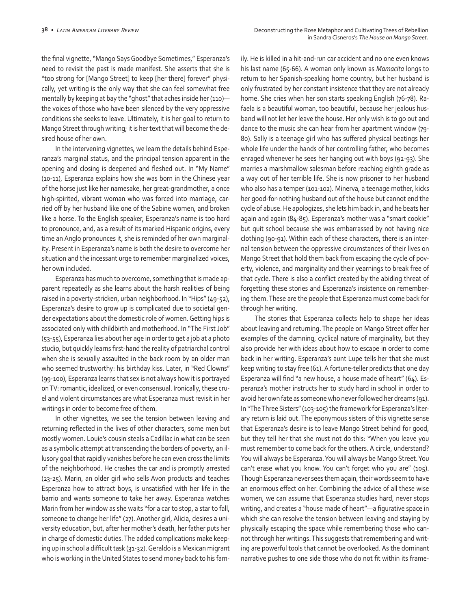the final vignette, "Mango Says Goodbye Sometimes," Esperanza's need to revisit the past is made manifest. She asserts that she is "too strong for [Mango Street] to keep [her there] forever" physically, yet writing is the only way that she can feel somewhat free mentally by keeping at bay the "ghost" that aches inside her (110)the voices of those who have been silenced by the very oppressive conditions she seeks to leave. Ultimately, it is her goal to return to Mango Street through writing; it is her text that will become the desired house of her own.

In the intervening vignettes, we learn the details behind Esperanza's marginal status, and the principal tension apparent in the opening and closing is deepened and fleshed out. In "My Name" (10-11), Esperanza explains how she was born in the Chinese year of the horse just like her namesake, her great-grandmother, a once high-spirited, vibrant woman who was forced into marriage, carried off by her husband like one of the Sabine women, and broken like a horse. To the English speaker, Esperanza's name is too hard to pronounce, and, as a result of its marked Hispanic origins, every time an Anglo pronounces it, she is reminded of her own marginality. Present in Esperanza's name is both the desire to overcome her situation and the incessant urge to remember marginalized voices, her own included.

Esperanza has much to overcome, something that is made apparent repeatedly as she learns about the harsh realities of being raised in a poverty-stricken, urban neighborhood. In "Hips" (49-52), Esperanza's desire to grow up is complicated due to societal gender expectations about the domestic role of women. Getting hips is associated only with childbirth and motherhood. In "The First Job" (53-55), Esperanza lies about her age in order to get a job at a photo studio, but quickly learns first-hand the reality of patriarchal control when she is sexually assaulted in the back room by an older man who seemed trustworthy: his birthday kiss. Later, in "Red Clowns" (99-100), Esperanza learns that sex is not always how it is portrayed on TV: romantic, idealized, or even consensual. Ironically, these cruel and violent circumstances are what Esperanza must revisit in her writings in order to become free of them.

In other vignettes, we see the tension between leaving and returning reflected in the lives of other characters, some men but mostly women. Louie's cousin steals a Cadillac in what can be seen as a symbolic attempt at transcending the borders of poverty, an illusory goal that rapidly vanishes before he can even cross the limits of the neighborhood. He crashes the car and is promptly arrested (23-25). Marin, an older girl who sells Avon products and teaches Esperanza how to attract boys, is unsatisfied with her life in the barrio and wants someone to take her away. Esperanza watches Marin from her window as she waits "for a car to stop, a star to fall, someone to change her life" (27). Another girl, Alicia, desires a university education, but, after her mother's death, her father puts her in charge of domestic duties. The added complications make keeping up in school a difficult task (31-32). Geraldo is a Mexican migrant who is working in the United States to send money back to his family. He is killed in a hit-and-run car accident and no one even knows his last name (65-66). A woman only known as *Mamacita* longs to return to her Spanish-speaking home country, but her husband is only frustrated by her constant insistence that they are not already home. She cries when her son starts speaking English (76-78). Rafaela is a beautiful woman, too beautiful, because her jealous husband will not let her leave the house. Her only wish is to go out and dance to the music she can hear from her apartment window (79- 80). Sally is a teenage girl who has suffered physical beatings her whole life under the hands of her controlling father, who becomes enraged whenever he sees her hanging out with boys (92-93). She marries a marshmallow salesman before reaching eighth grade as a way out of her terrible life. She is now prisoner to her husband who also has a temper (101-102). Minerva, a teenage mother, kicks her good-for-nothing husband out of the house but cannot end the cycle of abuse. He apologizes, she lets him back in, and he beats her again and again (84-85). Esperanza's mother was a "smart cookie" but quit school because she was embarrassed by not having nice clothing (90-91). Within each of these characters, there is an internal tension between the oppressive circumstances of their lives on Mango Street that hold them back from escaping the cycle of poverty, violence, and marginality and their yearnings to break free of that cycle. There is also a conflict created by the abiding threat of forgetting these stories and Esperanza's insistence on remembering them. These are the people that Esperanza must come back for through her writing.

The stories that Esperanza collects help to shape her ideas about leaving and returning. The people on Mango Street offer her examples of the damning, cyclical nature of marginality, but they also provide her with ideas about how to escape in order to come back in her writing. Esperanza's aunt Lupe tells her that she must keep writing to stay free (61). A fortune-teller predicts that one day Esperanza will find "a new house, a house made of heart" (64). Esperanza's mother instructs her to study hard in school in order to avoid her own fate as someone who never followed her dreams (91). In "The Three Sisters" (103-105) the framework for Esperanza's literary return is laid out. The eponymous sisters of this vignette sense that Esperanza's desire is to leave Mango Street behind for good, but they tell her that she must not do this: "When you leave you must remember to come back for the others. A circle, understand? You will always be Esperanza. You will always be Mango Street. You can't erase what you know. You can't forget who you are" (105). Though Esperanza never sees them again, their words seem to have an enormous effect on her. Combining the advice of all these wise women, we can assume that Esperanza studies hard, never stops writing, and creates a "house made of heart"—a figurative space in which she can resolve the tension between leaving and staying by physically escaping the space while remembering those who cannot through her writings. This suggests that remembering and writing are powerful tools that cannot be overlooked. As the dominant narrative pushes to one side those who do not fit within its frame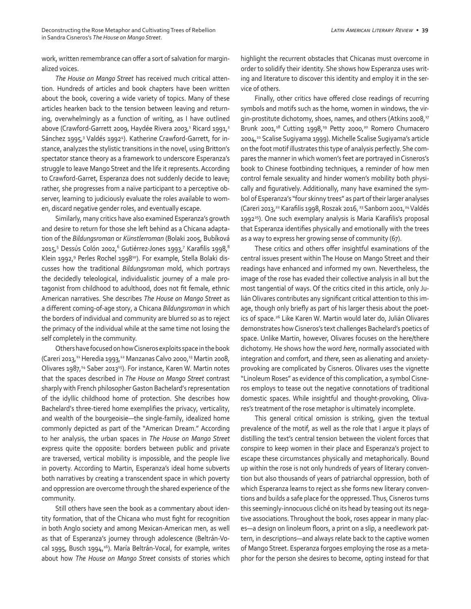Deconstructing the Rose Metaphor and Cultivating Trees of Rebellion *Latin American Literary Review* **• 39** in Sandra Cisneros's *The House on Mango Street*.

work, written remembrance can offer a sort of salvation for marginalized voices.

*The House on Mango Street* has received much critical attention. Hundreds of articles and book chapters have been written about the book, covering a wide variety of topics. Many of these articles hearken back to the tension between leaving and returning, overwhelmingly as a function of writing, as I have outlined above (Crawford-Garrett 2009, Haydée Rivera 2003,<sup>1</sup> Ricard 1991,<sup>2</sup> Sánchez 1995,<sup>3</sup> Valdés 1992<sup>4</sup>). Katherine Crawford-Garrett, for instance, analyzes the stylistic transitions in the novel, using Britton's spectator stance theory as a framework to underscore Esperanza's struggle to leave Mango Street and the life it represents. According to Crawford-Garret, Esperanza does not suddenly decide to leave; rather, she progresses from a naïve participant to a perceptive observer, learning to judiciously evaluate the roles available to women, discard negative gender roles, and eventually escape.

Similarly, many critics have also examined Esperanza's growth and desire to return for those she left behind as a Chicana adaptation of the *Bildungsroman* or *Künstlerroman* (Bolaki 2005, Bubíková 2015,<sup>5</sup> Dessús Colón 2002,<sup>6</sup> Gutiérrez-Jones 1993,<sup>7</sup> Karafilis 1998,8 Klein 1992,<sup>9</sup> Perles Rochel 1998<sup>10</sup>). For example, Stella Bolaki discusses how the traditional *Bildungsroman* mold, which portrays the decidedly teleological, individualistic journey of a male protagonist from childhood to adulthood, does not fit female, ethnic American narratives. She describes *The House on Mango Street* as a different coming-of-age story, a Chicana *Bildungsroman* in which the borders of individual and community are blurred so as to reject the primacy of the individual while at the same time not losing the self completely in the community.

Others have focused on how Cisneros exploits space in the book (Careri 2013,<sup>11</sup> Heredia 1993,<sup>12</sup> Manzanas Calvo 2000,<sup>13</sup> Martin 2008, Olivares 1987,<sup>14</sup> Saber 2013<sup>15</sup>). For instance, Karen W. Martin notes that the spaces described in *The House on Mango Street* contrast sharply with French philosopher Gaston Bachelard's representation of the idyllic childhood home of protection. She describes how Bachelard's three-tiered home exemplifies the privacy, verticality, and wealth of the bourgeoisie—the single-family, idealized home commonly depicted as part of the "American Dream." According to her analysis, the urban spaces in *The House on Mango Street* express quite the opposite: borders between public and private are traversed, vertical mobility is impossible, and the people live in poverty. According to Martin, Esperanza's ideal home subverts both narratives by creating a transcendent space in which poverty and oppression are overcome through the shared experience of the community.

Still others have seen the book as a commentary about identity formation, that of the Chicana who must fight for recognition in both Anglo society and among Mexican-American men, as well as that of Esperanza's journey through adolescence (Beltrán-Vocal 1995, Busch 1994,<sup>16</sup>). María Beltrán-Vocal, for example, writes about how *The House on Mango Street* consists of stories which highlight the recurrent obstacles that Chicanas must overcome in order to solidify their identity. She shows how Esperanza uses writing and literature to discover this identity and employ it in the service of others.

Finally, other critics have offered close readings of recurring symbols and motifs such as the home, women in windows, the virgin-prostitute dichotomy, shoes, names, and others (Atkins 2008,<sup>17</sup> Brunk 2001,<sup>18</sup> Cutting 1998,<sup>19</sup> Petty 2000,<sup>20</sup> Romero Chumacero 2004,<sup>21</sup> Scalise Sugiyama 1999). Michelle Scalise Sugiyama's article on the foot motif illustrates this type of analysis perfectly. She compares the manner in which women's feet are portrayed in Cisneros's book to Chinese footbinding techniques, a reminder of how men control female sexuality and hinder women's mobility both physically and figuratively. Additionally, many have examined the symbol of Esperanza's "four skinny trees" as part of their larger analyses (Careri 2013,22 Karafilis 1998, Roszak 2016, 23 Sanborn 2001,24 Valdés 1992<sup>25</sup>). One such exemplary analysis is Maria Karafilis's proposal that Esperanza identifies physically and emotionally with the trees as a way to express her growing sense of community (67).

These critics and others offer insightful examinations of the central issues present within The House on Mango Street and their readings have enhanced and informed my own. Nevertheless, the image of the rose has evaded their collective analysis in all but the most tangential of ways. Of the critics cited in this article, only Julián Olivares contributes any significant critical attention to this image, though only briefly as part of his larger thesis about the poetics of space.26 Like Karen W. Martin would later do, Julián Olivares demonstrates how Cisneros's text challenges Bachelard's poetics of space. Unlike Martin, however, Olivares focuses on the here/there dichotomy. He shows how the word *here*, normally associated with integration and comfort, and *there*, seen as alienating and anxietyprovoking are complicated by Cisneros. Olivares uses the vignette "Linoleum Roses" as evidence of this complication, a symbol Cisneros employs to tease out the negative connotations of traditional domestic spaces. While insightful and thought-provoking, Olivares's treatment of the rose metaphor is ultimately incomplete.

This general critical omission is striking, given the textual prevalence of the motif, as well as the role that I argue it plays of distilling the text's central tension between the violent forces that conspire to keep women in their place and Esperanza's project to escape these circumstances physically and metaphorically. Bound up within the rose is not only hundreds of years of literary convention but also thousands of years of patriarchal oppression, both of which Esperanza learns to reject as she forms new literary conventions and builds a safe place for the oppressed. Thus, Cisneros turns this seemingly-innocuous cliché on its head by teasing out its negative associations. Throughout the book, roses appear in many places—a design on linoleum floors, a print on a slip, a needlework pattern, in descriptions—and always relate back to the captive women of Mango Street. Esperanza forgoes employing the rose as a metaphor for the person she desires to become, opting instead for that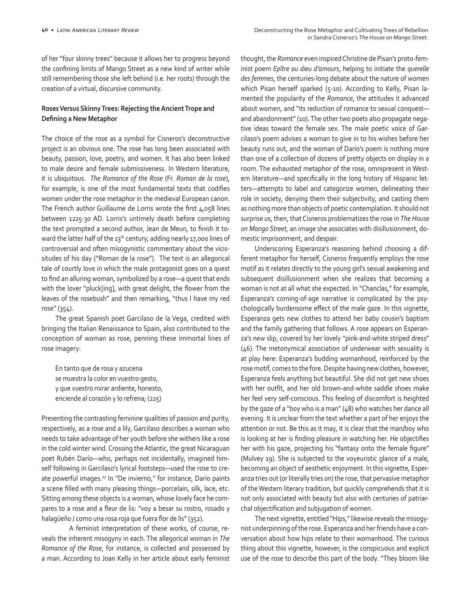of her "four skinny trees" because it allows her to progress beyond the confining limits of Mango Street as a new kind of writer while still remembering those she left behind (i.e. her roots) through the creation of a virtual, discursive community.

## **Roses Versus Skinny Trees: Rejecting the Ancient Trope and Defining a New Metaphor**

The choice of the rose as a symbol for Cisneros's deconstructive project is an obvious one. The rose has long been associated with beauty, passion, love, poetry, and women. It has also been linked to male desire and female submissiveness. In Western literature, it is ubiquitous. *The Romance of the Rose* (Fr. *Roman de la rose*), for example, is one of the most fundamental texts that codifies women under the rose metaphor in the medieval European canon. The French author Guillaume de Lorris wrote the first 4,058 lines between 1225-30 AD. Lorris's untimely death before completing the text prompted a second author, Jean de Meun, to finish it toward the latter half of the 13<sup>th</sup> century, adding nearly 17,000 lines of controversial and often misogynistic commentary about the vicissitudes of his day ("Roman de la rose"). The text is an allegorical tale of courtly love in which the male protagonist goes on a quest to find an alluring woman, symbolized by a rose—a quest that ends with the lover "pluck[ing], with great delight, the flower from the leaves of the rosebush" and then remarking, "thus I have my red rose" (354).

The great Spanish poet Garcilaso de la Vega, credited with bringing the Italian Renaissance to Spain, also contributed to the conception of woman as rose, penning these immortal lines of rose imagery:

En tanto que de rosa y azucena se muestra la color en vuestro gesto, y que vuestro mirar ardiente, honesto, enciende al corazón y lo refrena; (225)

Presenting the contrasting feminine qualities of passion and purity, respectively, as a rose and a lily, Garcilaso describes a woman who needs to take advantage of her youth before she withers like a rose in the cold winter wind. Crossing the Atlantic, the great Nicaraguan poet Rubén Darío—who, perhaps not incidentally, imagined himself following in Garcilaso's lyrical footsteps—used the rose to create powerful images.<sup>27</sup> In "De invierno," for instance, Darío paints a scene filled with many pleasing things—porcelain, silk, lace, etc. Sitting among these objects is a woman, whose lovely face he compares to a rose and a fleur de lis: "voy a besar su rostro, rosado y halagüeño / como una rosa roja que fuera flor de lis" (352).

A feminist interpretation of these works, of course, reveals the inherent misogyny in each. The allegorical woman in *The Romance of the Rose*, for instance, is collected and possessed by a man. According to Joan Kelly in her article about early feminist

thought, the *Romance* even inspired Christine de Pisan's proto-feminist poem *Epître au dieu d'amours*, helping to initiate the *querelle des femmes*, the centuries-long debate about the nature of women which Pisan herself sparked (5-10). According to Kelly, Pisan lamented the popularity of the *Romance*, the attitudes it advanced about women, and "its reduction of romance to sexual conquest and abandonment" (10). The other two poets also propagate negative ideas toward the female sex. The male poetic voice of Garcilaso's poem advises a woman to give in to his wishes before her beauty runs out, and the woman of Darío's poem is nothing more than one of a collection of dozens of pretty objects on display in a room. The exhausted metaphor of the rose, omnipresent in Western literature—and specifically in the long history of Hispanic letters—attempts to label and categorize women, delineating their role in society, denying them their subjectivity, and casting them as nothing more than objects of poetic contemplation. It should not surprise us, then, that Cisneros problematizes the rose in *The House on Mango Street*, an image she associates with disillusionment, domestic imprisonment, and despair.

Underscoring Esperanza's reasoning behind choosing a different metaphor for herself, Cisneros frequently employs the rose motif as it relates directly to the young girl's sexual awakening and subsequent disillusionment when she realizes that becoming a woman is not at all what she expected. In "Chanclas," for example, Esperanza's coming-of-age narrative is complicated by the psychologically burdensome effect of the male gaze. In this vignette, Esperanza gets new clothes to attend her baby cousin's baptism and the family gathering that follows. A rose appears on Esperanza's new slip, covered by her lovely "pink-and-white striped dress" (46). The metonymical association of underwear with sexuality is at play here: Esperanza's budding womanhood, reinforced by the rose motif, comes to the fore. Despite having new clothes, however, Esperanza feels anything but beautiful. She did not get new shoes with her outfit, and her old brown-and-white saddle shoes make her feel very self-conscious. This feeling of discomfort is heighted by the gaze of a "boy who is a man" (48) who watches her dance all evening. It is unclear from the text whether a part of her enjoys the attention or not. Be this as it may, it is clear that the man/boy who is looking at her is finding pleasure in watching her. He objectifies her with his gaze, projecting his "fantasy onto the female figure" (Mulvey 19). She is subjected to the voyeuristic glance of a male, becoming an object of aesthetic enjoyment. In this vignette, Esperanza tries out (or literally tries *on*) the rose, that pervasive metaphor of the Western literary tradition, but quickly comprehends that it is not only associated with beauty but also with centuries of patriarchal objectification and subjugation of women.

The next vignette, entitled "Hips," likewise reveals the misogynist underpinning of the rose. Esperanza and her friends have a conversation about how hips relate to their womanhood. The curious thing about this vignette, however, is the conspicuous and explicit use of the rose to describe this part of the body. "They bloom like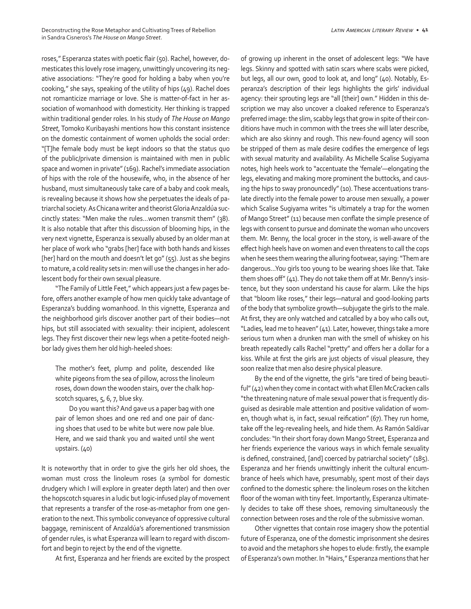roses," Esperanza states with poetic flair (50). Rachel, however, domesticates this lovely rose imagery, unwittingly uncovering its negative associations: "They're good for holding a baby when you're cooking," she says, speaking of the utility of hips (49). Rachel does not romanticize marriage or love. She is matter-of-fact in her association of womanhood with domesticity. Her thinking is trapped within traditional gender roles. In his study of *The House on Mango Street*, Tomoko Kuribayashi mentions how this constant insistence on the domestic containment of women upholds the social order: "[T]he female body must be kept indoors so that the status quo of the public/private dimension is maintained with men in public space and women in private" (169). Rachel's immediate association of hips with the role of the housewife, who, in the absence of her husband, must simultaneously take care of a baby and cook meals, is revealing because it shows how she perpetuates the ideals of patriarchal society. As Chicana writer and theorist Gloria Anzaldúa succinctly states: "Men make the rules…women transmit them" (38). It is also notable that after this discussion of blooming hips, in the very next vignette, Esperanza is sexually abused by an older man at her place of work who "grabs [her] face with both hands and kisses [her] hard on the mouth and doesn't let go" (55). Just as she begins to mature, a cold reality sets in: men will use the changes in her adolescent body for their own sexual pleasure.

"The Family of Little Feet," which appears just a few pages before, offers another example of how men quickly take advantage of Esperanza's budding womanhood. In this vignette, Esperanza and the neighborhood girls discover another part of their bodies—not hips, but still associated with sexuality: their incipient, adolescent legs. They first discover their new legs when a petite-footed neighbor lady gives them her old high-heeled shoes:

The mother's feet, plump and polite, descended like white pigeons from the sea of pillow, across the linoleum roses, down down the wooden stairs, over the chalk hopscotch squares, 5, 6, 7, blue sky.

Do you want this? And gave us a paper bag with one pair of lemon shoes and one red and one pair of dancing shoes that used to be white but were now pale blue. Here, and we said thank you and waited until she went upstairs. (40)

It is noteworthy that in order to give the girls her old shoes, the woman must cross the linoleum roses (a symbol for domestic drudgery which I will explore in greater depth later) and then over the hopscotch squares in a ludic but logic-infused play of movement that represents a transfer of the rose-as-metaphor from one generation to the next. This symbolic conveyance of oppressive cultural baggage, reminiscent of Anzaldúa's aforementioned transmission of gender rules, is what Esperanza will learn to regard with discomfort and begin to reject by the end of the vignette.

At first, Esperanza and her friends are excited by the prospect

of growing up inherent in the onset of adolescent legs: "We have legs. Skinny and spotted with satin scars where scabs were picked, but legs, all our own, good to look at, and long" (40). Notably, Esperanza's description of their legs highlights the girls' individual agency: their sprouting legs are "all [their] own." Hidden in this description we may also uncover a cloaked reference to Esperanza's preferred image: the slim, scabby legs that grow in spite of their conditions have much in common with the trees she will later describe, which are also skinny and rough. This new-found agency will soon be stripped of them as male desire codifies the emergence of legs with sexual maturity and availability. As Michelle Scalise Sugiyama notes, high heels work to "accentuate the 'female'—elongating the legs, elevating and making more prominent the buttocks, and causing the hips to sway pronouncedly" (10). These accentuations translate directly into the female power to arouse men sexually, a power which Scalise Sugiyama writes "is ultimately a trap for the women of Mango Street" (11) because men conflate the simple presence of legs with consent to pursue and dominate the woman who uncovers them. Mr. Benny, the local grocer in the story, is well-aware of the effect high heels have on women and even threatens to call the cops when he sees them wearing the alluring footwear, saying: "Them are dangerous…You girls too young to be wearing shoes like that. Take them shoes off" (41). They do not take them off at Mr. Benny's insistence, but they soon understand his cause for alarm. Like the hips that "bloom like roses," their legs—natural and good-looking parts of the body that symbolize growth—subjugate the girls to the male. At first, they are only watched and catcalled by a boy who calls out, "Ladies, lead me to heaven" (41). Later, however, things take a more serious turn when a drunken man with the smell of whiskey on his breath repeatedly calls Rachel "pretty" and offers her a dollar for a kiss. While at first the girls are just objects of visual pleasure, they soon realize that men also desire physical pleasure.

By the end of the vignette, the girls "are tired of being beautiful" (42) when they come in contact with what Ellen McCracken calls "the threatening nature of male sexual power that is frequently disguised as desirable male attention and positive validation of women, though what is, in fact, sexual reification" (67). They run home, take off the leg-revealing heels, and hide them. As Ramón Saldívar concludes: "In their short foray down Mango Street, Esperanza and her friends experience the various ways in which female sexuality is defined, constrained, [and] coerced by patriarchal society" (185). Esperanza and her friends unwittingly inherit the cultural encumbrance of heels which have, presumably, spent most of their days confined to the domestic sphere: the linoleum roses on the kitchen floor of the woman with tiny feet. Importantly, Esperanza ultimately decides to take off these shoes, removing simultaneously the connection between roses and the role of the submissive woman.

Other vignettes that contain rose imagery show the potential future of Esperanza, one of the domestic imprisonment she desires to avoid and the metaphors she hopes to elude: firstly, the example of Esperanza's own mother. In "Hairs," Esperanza mentions that her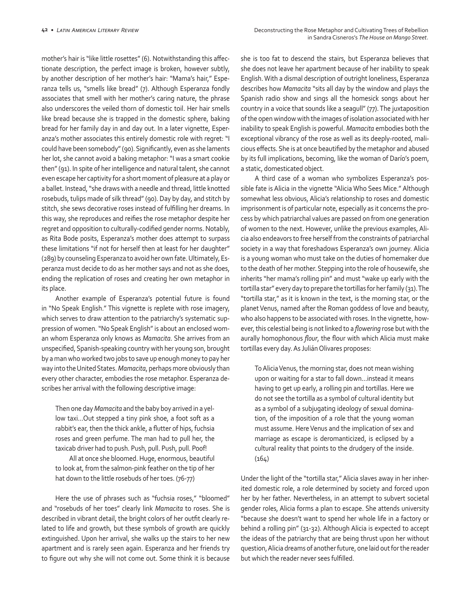mother's hair is "like little rosettes" (6). Notwithstanding this affectionate description, the perfect image is broken, however subtly, by another description of her mother's hair: "Mama's hair," Esperanza tells us, "smells like bread" (7). Although Esperanza fondly associates that smell with her mother's caring nature, the phrase also underscores the veiled thorn of domestic toil. Her hair smells like bread because she is trapped in the domestic sphere, baking bread for her family day in and day out. In a later vignette, Esperanza's mother associates this entirely domestic role with regret: "I could have been somebody" (90). Significantly, even as she laments her lot, she cannot avoid a baking metaphor: "I was a smart cookie then" (91). In spite of her intelligence and natural talent, she cannot even escape her captivity for a short moment of pleasure at a play or a ballet. Instead, "she draws with a needle and thread, little knotted rosebuds, tulips made of silk thread" (90). Day by day, and stitch by stitch, she sews decorative roses instead of fulfilling her dreams. In this way, she reproduces and reifies the rose metaphor despite her regret and opposition to culturally-codified gender norms. Notably, as Rita Bode posits, Esperanza's mother does attempt to surpass these limitations "if not for herself then at least for her daughter" (289) by counseling Esperanza to avoid her own fate. Ultimately, Esperanza must decide to do as her mother says and not as she does, ending the replication of roses and creating her own metaphor in its place.

Another example of Esperanza's potential future is found in "No Speak English." This vignette is replete with rose imagery, which serves to draw attention to the patriarchy's systematic suppression of women. "No Speak English" is about an enclosed woman whom Esperanza only knows as *Mamacita*. She arrives from an unspecified, Spanish-speaking country with her young son, brought by a man who worked two jobs to save up enough money to pay her way into the United States. *Mamacita*, perhaps more obviously than every other character, embodies the rose metaphor. Esperanza describes her arrival with the following descriptive image:

Then one day *Mamacita* and the baby boy arrived in a yellow taxi…Out stepped a tiny pink shoe, a foot soft as a rabbit's ear, then the thick ankle, a flutter of hips, fuchsia roses and green perfume. The man had to pull her, the taxicab driver had to push. Push, pull. Push, pull. Poof!

All at once she bloomed. Huge, enormous, beautiful to look at, from the salmon-pink feather on the tip of her hat down to the little rosebuds of her toes. (76-77)

Here the use of phrases such as "fuchsia roses," "bloomed" and "rosebuds of her toes" clearly link *Mamacita* to roses. She is described in vibrant detail, the bright colors of her outfit clearly related to life and growth, but these symbols of growth are quickly extinguished. Upon her arrival, she walks up the stairs to her new apartment and is rarely seen again. Esperanza and her friends try to figure out why she will not come out. Some think it is because

she is too fat to descend the stairs, but Esperanza believes that she does not leave her apartment because of her inability to speak English. With a dismal description of outright loneliness, Esperanza describes how *Mamacita* "sits all day by the window and plays the Spanish radio show and sings all the homesick songs about her country in a voice that sounds like a seagull" (77). The juxtaposition of the open window with the images of isolation associated with her inability to speak English is powerful. *Mamacita* embodies both the exceptional vibrancy of the rose as well as its deeply-rooted, malicious effects. She is at once beautified by the metaphor and abused by its full implications, becoming, like the woman of Darío's poem, a static, domesticated object.

A third case of a woman who symbolizes Esperanza's possible fate is Alicia in the vignette "Alicia Who Sees Mice." Although somewhat less obvious, Alicia's relationship to roses and domestic imprisonment is of particular note, especially as it concerns the process by which patriarchal values are passed on from one generation of women to the next. However, unlike the previous examples, Alicia also endeavors to free herself from the constraints of patriarchal society in a way that foreshadows Esperanza's own journey. Alicia is a young woman who must take on the duties of homemaker due to the death of her mother. Stepping into the role of housewife, she inherits "her mama's rolling pin" and must "wake up early with the tortilla star" every day to prepare the tortillas for her family (31). The "tortilla star," as it is known in the text, is the morning star, or the planet Venus, named after the Roman goddess of love and beauty, who also happens to be associated with roses. In the vignette, however, this celestial being is not linked to a *flowering* rose but with the aurally homophonous *flour*, the flour with which Alicia must make tortillas every day. As Julián Olivares proposes:

To Alicia Venus, the morning star, does not mean wishing upon or waiting for a star to fall down…instead it means having to get up early, a rolling pin and tortillas. Here we do not see the tortilla as a symbol of cultural identity but as a symbol of a subjugating ideology of sexual domination, of the imposition of a role that the young woman must assume. Here Venus and the implication of sex and marriage as escape is deromanticized, is eclipsed by a cultural reality that points to the drudgery of the inside.  $(164)$ 

Under the light of the "tortilla star," Alicia slaves away in her inherited domestic role, a role determined by society and forced upon her by her father. Nevertheless, in an attempt to subvert societal gender roles, Alicia forms a plan to escape. She attends university "because she doesn't want to spend her whole life in a factory or behind a rolling pin" (31-32). Although Alicia is expected to accept the ideas of the patriarchy that are being thrust upon her without question, Alicia dreams of another future, one laid out for the reader but which the reader never sees fulfilled.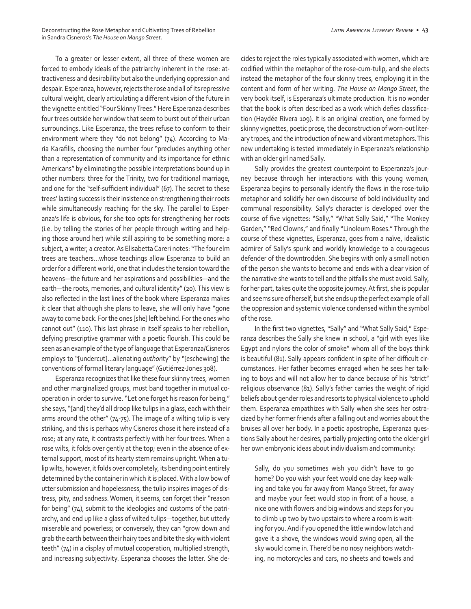To a greater or lesser extent, all three of these women are forced to embody ideals of the patriarchy inherent in the rose: attractiveness and desirability but also the underlying oppression and despair. Esperanza, however, rejects the rose and all of its repressive cultural weight, clearly articulating a different vision of the future in the vignette entitled "Four Skinny Trees." Here Esperanza describes four trees outside her window that seem to burst out of their urban surroundings. Like Esperanza, the trees refuse to conform to their environment where they "do not belong" (74). According to Maria Karafilis, choosing the number four "precludes anything other than a representation of community and its importance for ethnic Americans" by eliminating the possible interpretations bound up in other numbers: three for the Trinity, two for traditional marriage, and one for the "self-sufficient individual" (67). The secret to these trees' lasting success is their insistence on strengthening their roots while simultaneously reaching for the sky. The parallel to Esperanza's life is obvious, for she too opts for strengthening her roots (i.e. by telling the stories of her people through writing and helping those around her) while still aspiring to be something more: a subject, a writer, a creator. As Elisabetta Careri notes: "The four elm trees are teachers…whose teachings allow Esperanza to build an order for a different world, one that includes the tension toward the heavens—the future and her aspirations and possibilities—and the earth—the roots, memories, and cultural identity" (20). This view is also reflected in the last lines of the book where Esperanza makes it clear that although she plans to leave, she will only have "gone away to come back. For the ones [she] left behind. For the ones who cannot out" (110). This last phrase in itself speaks to her rebellion, defying prescriptive grammar with a poetic flourish. This could be seen as an example of the type of language that Esperanza/Cisneros employs to "[undercut]…alienating *author*ity" by "[eschewing] the conventions of formal literary language" (Gutiérrez-Jones 308).

Esperanza recognizes that like these four skinny trees, women and other marginalized groups, must band together in mutual cooperation in order to survive. "Let one forget his reason for being," she says, "[and] they'd all droop like tulips in a glass, each with their arms around the other" (74-75). The image of a wilting tulip is very striking, and this is perhaps why Cisneros chose it here instead of a rose; at any rate, it contrasts perfectly with her four trees. When a rose wilts, it folds over gently at the top; even in the absence of external support, most of its hearty stem remains upright. When a tulip wilts, however, it folds over completely, its bending point entirely determined by the container in which it is placed. With a low bow of utter submission and hopelessness, the tulip inspires images of distress, pity, and sadness. Women, it seems, can forget their "reason for being" (74), submit to the ideologies and customs of the patriarchy, and end up like a glass of wilted tulips—together, but utterly miserable and powerless; or conversely, they can "grow down and grab the earth between their hairy toes and bite the sky with violent teeth" (74) in a display of mutual cooperation, multiplied strength, and increasing subjectivity. Esperanza chooses the latter. She decides to reject the roles typically associated with women, which are codified within the metaphor of the rose-cum-tulip, and she elects instead the metaphor of the four skinny trees, employing it in the content and form of her writing. *The House on Mango Street*, the very book itself, is Esperanza's ultimate production. It is no wonder that the book is often described as a work which defies classification (Haydée Rivera 109). It is an original creation, one formed by skinny vignettes, poetic prose, the deconstruction of worn-out literary tropes, and the introduction of new and vibrant metaphors. This new undertaking is tested immediately in Esperanza's relationship with an older girl named Sally.

Sally provides the greatest counterpoint to Esperanza's journey because through her interactions with this young woman, Esperanza begins to personally identify the flaws in the rose-tulip metaphor and solidify her own discourse of bold individuality and communal responsibility. Sally's character is developed over the course of five vignettes: "Sally," "What Sally Said," "The Monkey Garden," "Red Clowns," and finally "Linoleum Roses." Through the course of these vignettes, Esperanza, goes from a naïve, idealistic admirer of Sally's spunk and worldly knowledge to a courageous defender of the downtrodden. She begins with only a small notion of the person she wants to become and ends with a clear vision of the narrative she wants to tell and the pitfalls she must avoid. Sally, for her part, takes quite the opposite journey. At first, she is popular and seems sure of herself, but she ends up the perfect example of all the oppression and systemic violence condensed within the symbol of the rose.

In the first two vignettes, "Sally" and "What Sally Said," Esperanza describes the Sally she knew in school, a "girl with eyes like Egypt and nylons the color of smoke" whom all of the boys think is beautiful (81). Sally appears confident in spite of her difficult circumstances. Her father becomes enraged when he sees her talking to boys and will not allow her to dance because of his "strict" religious observance (81). Sally's father carries the weight of rigid beliefs about gender roles and resorts to physical violence to uphold them. Esperanza empathizes with Sally when she sees her ostracized by her former friends after a falling out and worries about the bruises all over her body. In a poetic apostrophe, Esperanza questions Sally about her desires, partially projecting onto the older girl her own embryonic ideas about individualism and community:

Sally, do you sometimes wish you didn't have to go home? Do you wish your feet would one day keep walking and take you far away from Mango Street, far away and maybe your feet would stop in front of a house, a nice one with flowers and big windows and steps for you to climb up two by two upstairs to where a room is waiting for you. And if you opened the little window latch and gave it a shove, the windows would swing open, all the sky would come in. There'd be no nosy neighbors watching, no motorcycles and cars, no sheets and towels and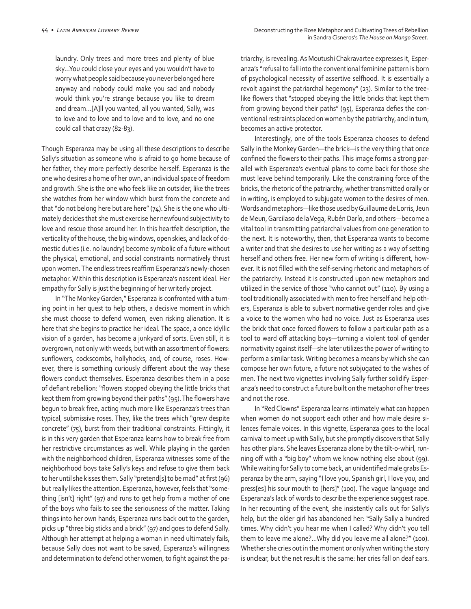laundry. Only trees and more trees and plenty of blue sky…You could close your eyes and you wouldn't have to worry what people said because you never belonged here anyway and nobody could make you sad and nobody would think you're strange because you like to dream and dream…[A]ll you wanted, all you wanted, Sally, was to love and to love and to love and to love, and no one could call that crazy (82-83).

Though Esperanza may be using all these descriptions to describe Sally's situation as someone who is afraid to go home because of her father, they more perfectly describe herself. Esperanza is the one who desires a home of her own, an individual space of freedom and growth. She is the one who feels like an outsider, like the trees she watches from her window which burst from the concrete and that "do not belong here but are here" (74). She is the one who ultimately decides that she must exercise her newfound subjectivity to love and rescue those around her. In this heartfelt description, the verticality of the house, the big windows, open skies, and lack of domestic duties (i.e. no laundry) become symbolic of a future without the physical, emotional, and social constraints normatively thrust upon women. The endless trees reaffirm Esperanza's newly-chosen metaphor. Within this description is Esperanza's nascent ideal. Her empathy for Sally is just the beginning of her writerly project.

In "The Monkey Garden," Esperanza is confronted with a turning point in her quest to help others, a decisive moment in which she must choose to defend women, even risking alienation. It is here that she begins to practice her ideal. The space, a once idyllic vision of a garden, has become a junkyard of sorts. Even still, it is overgrown, not only with weeds, but with an assortment of flowers: sunflowers, cockscombs, hollyhocks, and, of course, roses. However, there is something curiously different about the way these flowers conduct themselves. Esperanza describes them in a pose of defiant rebellion: "flowers stopped obeying the little bricks that kept them from growing beyond their paths" (95). The flowers have begun to break free, acting much more like Esperanza's trees than typical, submissive roses. They, like the trees which "grew despite concrete" (75), burst from their traditional constraints. Fittingly, it is in this very garden that Esperanza learns how to break free from her restrictive circumstances as well. While playing in the garden with the neighborhood children, Esperanza witnesses some of the neighborhood boys take Sally's keys and refuse to give them back to her until she kisses them. Sally "pretend[s] to be mad" at first (96) but really likes the attention. Esperanza, however, feels that "something [isn't] right" (97) and runs to get help from a mother of one of the boys who fails to see the seriousness of the matter. Taking things into her own hands, Esperanza runs back out to the garden, picks up "three big sticks and a brick" (97) and goes to defend Sally. Although her attempt at helping a woman in need ultimately fails, because Sally does not want to be saved, Esperanza's willingness and determination to defend other women, to fight against the patriarchy, is revealing. As Moutushi Chakravartee expresses it, Esperanza's "refusal to fall into the conventional feminine pattern is born of psychological necessity of assertive selfhood. It is essentially a revolt against the patriarchal hegemony" (23). Similar to the treelike flowers that "stopped obeying the little bricks that kept them from growing beyond their paths" (95), Esperanza defies the conventional restraints placed on women by the patriarchy, and in turn, becomes an active protector.

Interestingly, one of the tools Esperanza chooses to defend Sally in the Monkey Garden—the brick—is the very thing that once confined the flowers to their paths. This image forms a strong parallel with Esperanza's eventual plans to come back for those she must leave behind temporarily. Like the constraining force of the bricks, the rhetoric of the patriarchy, whether transmitted orally or in writing, is employed to subjugate women to the desires of men. Words and metaphors—like those used by Guillaume de Lorris, Jeun de Meun, Garcilaso de la Vega, Rubén Darío, and others—become a vital tool in transmitting patriarchal values from one generation to the next. It is noteworthy, then, that Esperanza wants to become a writer and that she desires to use her writing as a way of setting herself and others free. Her new form of writing is different, however. It is not filled with the self-serving rhetoric and metaphors of the patriarchy. Instead it is constructed upon new metaphors and utilized in the service of those "who cannot out" (110). By using a tool traditionally associated with men to free herself and help others, Esperanza is able to subvert normative gender roles and give a voice to the women who had no voice. Just as Esperanza uses the brick that once forced flowers to follow a particular path as a tool to ward off attacking boys—turning a violent tool of gender normativity against itself—she later utilizes the power of writing to perform a similar task. Writing becomes a means by which she can compose her own future, a future not subjugated to the wishes of men. The next two vignettes involving Sally further solidify Esperanza's need to construct a future built on the metaphor of her trees and not the rose.

In "Red Clowns" Esperanza learns intimately what can happen when women do not support each other and how male desire silences female voices. In this vignette, Esperanza goes to the local carnival to meet up with Sally, but she promptly discovers that Sally has other plans. She leaves Esperanza alone by the tilt-o-whirl, running off with a "big boy" whom we know nothing else about (99). While waiting for Sally to come back, an unidentified male grabs Esperanza by the arm, saying "I love you, Spanish girl, I love you, and press[es] his sour mouth to [hers]" (100). The vague language and Esperanza's lack of words to describe the experience suggest rape. In her recounting of the event, she insistently calls out for Sally's help, but the older girl has abandoned her: "Sally Sally a hundred times. Why didn't you hear me when I called? Why didn't you tell them to leave me alone?...Why did you leave me all alone?" (100). Whether she cries out in the moment or only when writing the story is unclear, but the net result is the same: her cries fall on deaf ears.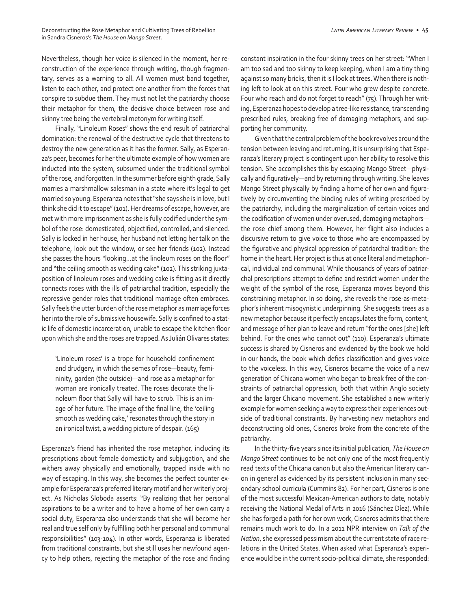Nevertheless, though her voice is silenced in the moment, her reconstruction of the experience through writing, though fragmentary, serves as a warning to all. All women must band together, listen to each other, and protect one another from the forces that conspire to subdue them. They must not let the patriarchy choose their metaphor for them, the decisive choice between rose and skinny tree being the vertebral metonym for writing itself.

Finally, "Linoleum Roses" shows the end result of patriarchal domination: the renewal of the destructive cycle that threatens to destroy the new generation as it has the former. Sally, as Esperanza's peer, becomes for her the ultimate example of how women are inducted into the system, subsumed under the traditional symbol of the rose, and forgotten. In the summer before eighth grade, Sally marries a marshmallow salesman in a state where it's legal to get married so young. Esperanza notes that "she says she is in love, but I think she did it to escape" (101). Her dreams of escape, however, are met with more imprisonment as she is fully codified under the symbol of the rose: domesticated, objectified, controlled, and silenced. Sally is locked in her house, her husband not letting her talk on the telephone, look out the window, or see her friends (102). Instead she passes the hours "looking…at the linoleum roses on the floor" and "the ceiling smooth as wedding cake" (102). This striking juxtaposition of linoleum roses and wedding cake is fitting as it directly connects roses with the ills of patriarchal tradition, especially the repressive gender roles that traditional marriage often embraces. Sally feels the utter burden of the rose metaphor as marriage forces her into the role of submissive housewife. Sally is confined to a static life of domestic incarceration, unable to escape the kitchen floor upon which she and the roses are trapped. As Julián Olivares states:

'Linoleum roses' is a trope for household confinement and drudgery, in which the semes of rose—beauty, femininity, garden (the outside)—and rose as a metaphor for woman are ironically treated. The roses decorate the linoleum floor that Sally will have to scrub. This is an image of her future. The image of the final line, the 'ceiling smooth as wedding cake,' resonates through the story in an ironical twist, a wedding picture of despair. (165)

Esperanza's friend has inherited the rose metaphor, including its prescriptions about female domesticity and subjugation, and she withers away physically and emotionally, trapped inside with no way of escaping. In this way, she becomes the perfect counter example for Esperanza's preferred literary motif and her writerly project. As Nicholas Sloboda asserts: "By realizing that her personal aspirations to be a writer and to have a home of her own carry a social duty, Esperanza also understands that she will become her real and true self only by fulfilling both her personal and communal responsibilities" (103-104). In other words, Esperanza is liberated from traditional constraints, but she still uses her newfound agency to help others, rejecting the metaphor of the rose and finding constant inspiration in the four skinny trees on her street: "When I am too sad and too skinny to keep keeping, when I am a tiny thing against so many bricks, then it is I look at trees. When there is nothing left to look at on this street. Four who grew despite concrete. Four who reach and do not forget to reach" (75). Through her writing, Esperanza hopes to develop a tree-like resistance, transcending prescribed rules, breaking free of damaging metaphors, and supporting her community.

Given that the central problem of the book revolves around the tension between leaving and returning, it is unsurprising that Esperanza's literary project is contingent upon her ability to resolve this tension. She accomplishes this by escaping Mango Street—physically and figuratively—and by returning through writing. She leaves Mango Street physically by finding a home of her own and figuratively by circumventing the binding rules of writing prescribed by the patriarchy, including the marginalization of certain voices and the codification of women under overused, damaging metaphors the rose chief among them. However, her flight also includes a discursive return to give voice to those who are encompassed by the figurative and physical oppression of patriarchal tradition: the home in the heart. Her project is thus at once literal and metaphorical, individual and communal. While thousands of years of patriarchal prescriptions attempt to define and restrict women under the weight of the symbol of the rose, Esperanza moves beyond this constraining metaphor. In so doing, she reveals the rose-as-metaphor's inherent misogynistic underpinning. She suggests trees as a new metaphor because it perfectly encapsulates the form, content, and message of her plan to leave and return "for the ones [she] left behind. For the ones who cannot out" (110). Esperanza's ultimate success is shared by Cisneros and evidenced by the book we hold in our hands, the book which defies classification and gives voice to the voiceless. In this way, Cisneros became the voice of a new generation of Chicana women who began to break free of the constraints of patriarchal oppression, both that within Anglo society and the larger Chicano movement. She established a new writerly example for women seeking a way to express their experiences outside of traditional constraints. By harvesting new metaphors and deconstructing old ones, Cisneros broke from the concrete of the patriarchy.

In the thirty-five years since its initial publication, *The House on Mango Street* continues to be not only one of the most frequently read texts of the Chicana canon but also the American literary canon in general as evidenced by its persistent inclusion in many secondary school curricula (Cummins 82). For her part, Cisneros is one of the most successful Mexican-American authors to date, notably receiving the National Medal of Arts in 2016 (Sánchez Díez). While she has forged a path for her own work, Cisneros admits that there remains much work to do. In a 2011 NPR interview on *Talk of the Nation*, she expressed pessimism about the current state of race relations in the United States. When asked what Esperanza's experience would be in the current socio-political climate, she responded: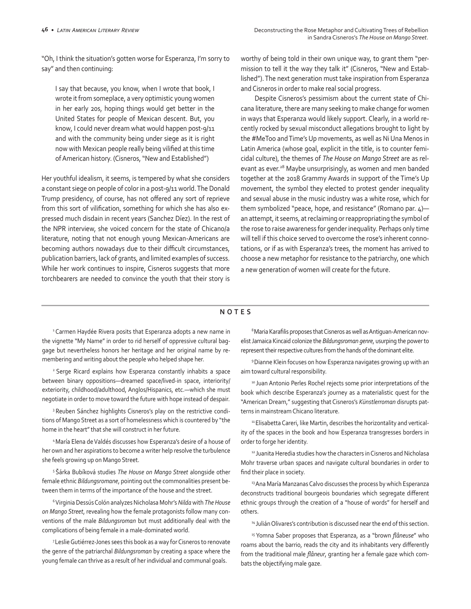"Oh, I think the situation's gotten worse for Esperanza, I'm sorry to say" and then continuing:

I say that because, you know, when I wrote that book, I wrote it from someplace, a very optimistic young women in her early 20s, hoping things would get better in the United States for people of Mexican descent. But, you know, I could never dream what would happen post-9/11 and with the community being under siege as it is right now with Mexican people really being vilified at this time of American history. (Cisneros, "New and Established")

Her youthful idealism, it seems, is tempered by what she considers a constant siege on people of color in a post-9/11 world. The Donald Trump presidency, of course, has not offered any sort of reprieve from this sort of vilification, something for which she has also expressed much disdain in recent years (Sanchez Díez). In the rest of the NPR interview, she voiced concern for the state of Chicano/a literature, noting that not enough young Mexican-Americans are becoming authors nowadays due to their difficult circumstances, publication barriers, lack of grants, and limited examples of success. While her work continues to inspire, Cisneros suggests that more torchbearers are needed to convince the youth that their story is

worthy of being told in their own unique way, to grant them "permission to tell it the way they talk it" (Cisneros, "New and Established"). The next generation must take inspiration from Esperanza and Cisneros in order to make real social progress.

Despite Cisneros's pessimism about the current state of Chicana literature, there are many seeking to make change for women in ways that Esperanza would likely support. Clearly, in a world recently rocked by sexual misconduct allegations brought to light by the #MeToo and Time's Up movements, as well as Ni Una Menos in Latin America (whose goal, explicit in the title, is to counter femicidal culture), the themes of *The House on Mango Street* are as relevant as ever.<sup>28</sup> Maybe unsurprisingly, as women and men banded together at the 2018 Grammy Awards in support of the Time's Up movement, the symbol they elected to protest gender inequality and sexual abuse in the music industry was a white rose, which for them symbolized "peace, hope, and resistance" (Romano par. 4) an attempt, it seems, at reclaiming or reappropriating the symbol of the rose to raise awareness for gender inequality. Perhaps only time will tell if this choice served to overcome the rose's inherent connotations, or if as with Esperanza's trees, the moment has arrived to choose a new metaphor for resistance to the patriarchy, one which a new generation of women will create for the future.

### **NOTES**

<sup>1</sup> Carmen Haydée Rivera posits that Esperanza adopts a new name in the vignette "My Name" in order to rid herself of oppressive cultural baggage but nevertheless honors her heritage and her original name by remembering and writing about the people who helped shape her.

2 Serge Ricard explains how Esperanza constantly inhabits a space between binary oppositions—dreamed space/lived-in space, interiority/ exteriority, childhood/adulthood, Anglos/Hispanics, etc.—which she must negotiate in order to move toward the future with hope instead of despair.

<sup>3</sup> Reuben Sánchez highlights Cisneros's play on the restrictive conditions of Mango Street as a sort of homelessness which is countered by "the home in the heart" that she will construct in her future.

4 María Elena de Valdés discusses how Esperanza's desire of a house of her own and her aspirations to become a writer help resolve the turbulence she feels growing up on Mango Street.

5 Šárka Bubíková studies *The House on Mango Street* alongside other female ethnic *Bildungsromane*, pointing out the commonalities present between them in terms of the importance of the house and the street.

<sup>6</sup>Virginia Dessús Colón analyzes Nicholasa Mohr's *Nilda* with *The House on Mango Street*, revealing how the female protagonists follow many conventions of the male *Bildungsroman* but must additionally deal with the complications of being female in a male-dominated world.

7 Leslie Gutiérrez-Jones sees this book as a way for Cisneros to renovate the genre of the patriarchal *Bildungsroman* by creating a space where the young female can thrive as a result of her individual and communal goals.

<sup>8</sup> Maria Karafilis proposes that Cisneros as well as Antiguan-American novelist Jamaica Kincaid colonize the *Bildungsroman genre*, usurping the power to represent their respective cultures from the hands of the dominant elite.

9 Dianne Klein focuses on how Esperanza navigates growing up with an aim toward cultural responsibility.

10 Juan Antonio Perles Rochel rejects some prior interpretations of the book which describe Esperanza's journey as a materialistic quest for the "American Dream," suggesting that Cisneros's *Künstlerroman* disrupts patterns in mainstream Chicano literature.

<sup>11</sup> Elisabetta Careri, like Martin, describes the horizontality and verticality of the spaces in the book and how Esperanza transgresses borders in order to forge her identity.

<sup>12</sup> Juanita Heredia studies how the characters in Cisneros and Nicholasa Mohr traverse urban spaces and navigate cultural boundaries in order to find their place in society.

<sup>13</sup> Ana María Manzanas Calvo discusses the process by which Esperanza deconstructs traditional bourgeois boundaries which segregate different ethnic groups through the creation of a "house of words" for herself and others.

<sup>14</sup> Julián Olivares's contribution is discussed near the end of this section.

<sup>15</sup> Yomna Saber proposes that Esperanza, as a "brown *flâneuse"* who roams about the barrio, reads the city and its inhabitants very differently from the traditional male *flâneur*, granting her a female gaze which combats the objectifying male gaze.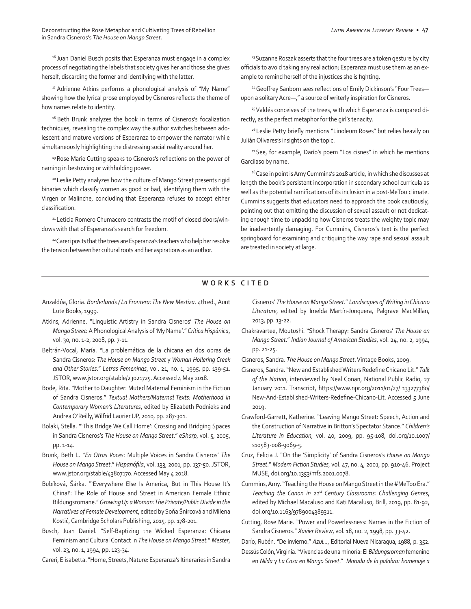Deconstructing the Rose Metaphor and Cultivating Trees of Rebellion *Latin American Literary Review* **• 47** in Sandra Cisneros's *The House on Mango Street*.

<sup>16</sup> Juan Daniel Busch posits that Esperanza must engage in a complex process of negotiating the labels that society gives her and those she gives herself, discarding the former and identifying with the latter.

<sup>17</sup> Adrienne Atkins performs a phonological analysis of "My Name" showing how the lyrical prose employed by Cisneros reflects the theme of how names relate to identity.

<sup>18</sup> Beth Brunk analyzes the book in terms of Cisneros's focalization techniques, revealing the complex way the author switches between adolescent and mature versions of Esperanza to empower the narrator while simultaneously highlighting the distressing social reality around her.

<sup>19</sup> Rose Marie Cutting speaks to Cisneros's reflections on the power of naming in bestowing or withholding power.

20 Leslie Petty analyzes how the culture of Mango Street presents rigid binaries which classify women as good or bad, identifying them with the Virgen or Malinche, concluding that Esperanza refuses to accept either classification.

<sup>21</sup> Leticia Romero Chumacero contrasts the motif of closed doors/windows with that of Esperanza's search for freedom.

<sup>22</sup> Careri posits that the trees are Esperanza's teachers who help her resolve the tension between her cultural roots and her aspirations as an author.

<sup>23</sup> Suzanne Roszak asserts that the four trees are a token gesture by city officials to avoid taking any real action; Esperanza must use them as an example to remind herself of the injustices she is fighting.

<sup>24</sup> Geoffrey Sanborn sees reflections of Emily Dickinson's "Four Treesupon a solitary Acre—," a source of writerly inspiration for Cisneros.

<sup>25</sup> Valdés conceives of the trees, with which Esperanza is compared directly, as the perfect metaphor for the girl's tenacity.

<sup>26</sup> Leslie Petty briefly mentions "Linoleum Roses" but relies heavily on Julián Olivares's insights on the topic.

<sup>27</sup> See, for example, Darío's poem "Los cisnes" in which he mentions Garcilaso by name.

<sup>28</sup> Case in point is Amy Cummins's 2018 article, in which she discusses at length the book's persistent incorporation in secondary school curricula as well as the potential ramifications of its inclusion in a post-MeToo climate. Cummins suggests that educators need to approach the book cautiously, pointing out that omitting the discussion of sexual assault or not dedicating enough time to unpacking how Cisneros treats the weighty topic may be inadvertently damaging. For Cummins, Cisneros's text is the perfect springboard for examining and critiquing the way rape and sexual assault are treated in society at large.

## **WORKS CITED**

- Anzaldúa, Gloria. *Borderlands / La Frontera: The New Mestiza.* 4thed., Aunt Lute Books, 1999.
- Atkins, Adrienne. "Linguistic Artistry in Sandra Cisneros' *The House on Mango Street:* A Phonological Analysis of 'My Name'." *Crítica Hispánica*, vol. 30, no. 1-2, 2008, pp. 7-11.
- Beltrán-Vocal, María. "La problemática de la chicana en dos obras de Sandra Cisneros: *The House on Mango Street* y *Woman Hollering Creek and Other Stories*." *Letras Femeninas*, vol. 21, no. 1, 1995, pp. 139-51. JSTOR, www.jstor.org/stable/23021725. Accessed 4 May 2018.
- Bode, Rita. "Mother to Daughter: Muted Maternal Feminism in the Fiction of Sandra Cisneros." *Textual Mothers/Maternal Texts: Motherhood in Contemporary Women's Literatures*, edited by Elizabeth Podnieks and Andrea O'Reilly, Wilfrid Laurier UP, 2010, pp. 287-301.
- Bolaki, Stella. "'This Bridge We Call Home': Crossing and Bridging Spaces in Sandra Cisneros's *The House on Mango Street*." *eSharp*, vol. 5, 2005, pp. 1-14.
- Brunk, Beth L. "*En Otras Voces*: Multiple Voices in Sandra Cisneros' *The House on Mango Street*." *Hispanófila*, vol. 133, 2001, pp. 137-50. JSTOR, www.jstor.org/stable/43807170. Accessed May 4 2018.
- Bubíková, Šárka. "'Everywhere Else Is America, But in This House It's China!': The Role of House and Street in American Female Ethnic Bildungsromane." *Growing Up a Woman: The Private/Public Divide in the Narratives of Female Development*, edited by Soňa Šnircová and Milena Kostić, Cambridge Scholars Publishing, 2015, pp. 178-201.
- Busch, Juan Daniel. "Self-Baptizing the Wicked Esperanza: Chicana Feminism and Cultural Contact in *The House on Mango Street.*" *Mester*, vol. 23, no. 1, 1994, pp. 123-34.

Careri, Elisabetta. "Home, Streets, Nature: Esperanza's Itineraries in Sandra

Cisneros' *The House on Mango Street*." *Landscapes of Writing in Chicano Literature*, edited by Imelda Martín-Junquera, Palgrave MacMillan, 2013, pp. 13-22.

Chakravartee, Moutushi. "Shock Therapy: Sandra Cisneros' *The House on Mango Street*." *Indian Journal of American Studies*, vol. 24, no. 2, 1994, pp. 21-25.

Cisneros, Sandra. *The House on Mango Street*. Vintage Books, 2009.

- Cisneros, Sandra. "New and Established Writers Redefine Chicano Lit." *Talk of the Nation*, interviewed by Neal Conan, National Public Radio, 27 January 2011. Transcript, https://www.npr.org/2011/01/27/ 133277380/ New-And-Established-Writers-Redefine-Chicano-Lit. Accessed 5 June 2019.
- Crawford-Garrett, Katherine. "Leaving Mango Street: Speech, Action and the Construction of Narrative in Britton's Spectator Stance." *Children's Literature in Education*, vol. 40, 2009, pp. 95-108, doi.org/10.1007/ s10583-008-9069-5.
- Cruz, Felicia J. "On the 'Simplicity' of Sandra Cisneros's *House on Mango Street*." *Modern Fiction Studies*, vol. 47, no. 4, 2001, pp. 910-46. Project MUSE, doi.org/10.1353/mfs.2001.0078.
- Cummins, Amy. "Teaching the House on Mango Street in the #MeToo Era." *Teaching the Canon in 21st Century Classrooms: Challenging Genres*, edited by Michael Macaluso and Kati Macaluso, Brill, 2019, pp. 81-92, doi.org/10.1163/9789004389311.
- Cutting, Rose Marie. "Power and Powerlessness: Names in the Fiction of Sandra Cisneros." *Xavier Review*, vol. 18, no. 2, 1998, pp. 33-42.
- Darío, Rubén. "De invierno." *Azul...*, Editorial Nueva Nicaragua, 1988, p. 352. Dessús Colón, Virginia. "Vivencias de una minoría: El *Bildungsroman* femenino
	- en *Nilda* y *La Casa en Mango Street*." *Morada de la palabra: homenaje a*